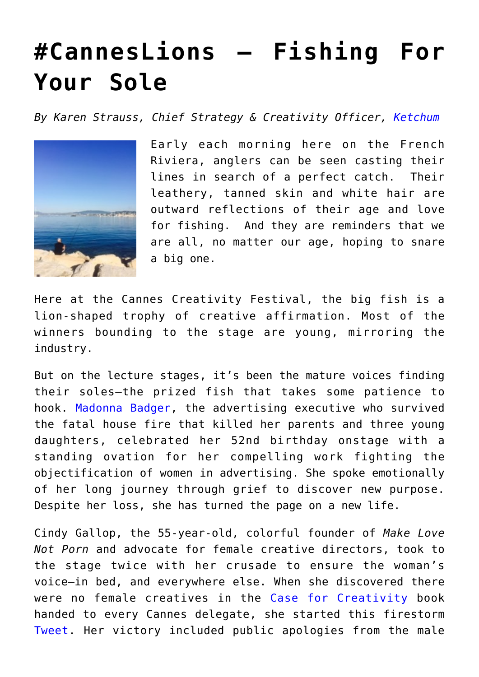## **[#CannesLions – Fishing For](https://www.commpro.biz/canneslions-fishing-for-your-sole/) [Your Sole](https://www.commpro.biz/canneslions-fishing-for-your-sole/)**

*By Karen Strauss, Chief Strategy & Creativity Officer, [Ketchum](https://blog.ketchum.com/fishing-for-your-sole/)*



Early each morning here on the French Riviera, anglers can be seen casting their lines in search of a perfect catch. Their leathery, tanned skin and white hair are outward reflections of their age and love for fishing. And they are reminders that we are all, no matter our age, hoping to snare a big one.

Here at the Cannes Creativity Festival, the big fish is a lion-shaped trophy of creative affirmation. Most of the winners bounding to the stage are young, mirroring the industry.

But on the lecture stages, it's been the mature voices finding their soles—the prized fish that takes some patience to hook. [Madonna Badger](https://www.youtube.com/watch?v=yBo-G8QRpEo), the advertising executive who survived the fatal house fire that killed her parents and three young daughters, celebrated her 52nd birthday onstage with a standing ovation for her compelling work fighting the objectification of women in advertising. She spoke emotionally of her long journey through grief to discover new purpose. Despite her loss, she has turned the page on a new life.

Cindy Gallop, the 55-year-old, colorful founder of *Make Love Not Porn* and advocate for female creative directors, took to the stage twice with her crusade to ensure the woman's voice—in bed, and everywhere else. When she discovered there were no female creatives in the [Case for Creativity](https://stoppress.co.nz/news/trouble-cannes-cindy-gallop-calls-out-james-hurmans-book-sexism) book handed to every Cannes delegate, she started this firestorm [Tweet.](https://twitter.com/cindygallop/status/745157364718796800?refsrc=email&s=11) Her victory included public apologies from the male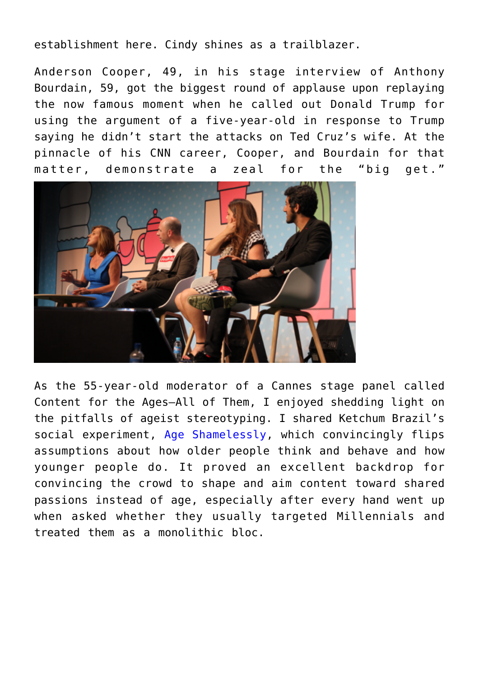establishment here. Cindy shines as a trailblazer.

Anderson Cooper, 49, in his stage interview of Anthony Bourdain, 59, got the biggest round of applause upon replaying the now famous moment when he called out Donald Trump for using the argument of a five-year-old in response to Trump saying he didn't start the attacks on Ted Cruz's wife. At the pinnacle of his CNN career, Cooper, and Bourdain for that matter, demonstrate a zeal for the "big get."



As the 55-year-old moderator of a Cannes stage panel called Content for the Ages—All of Them, I enjoyed shedding light on the pitfalls of ageist stereotyping. I shared Ketchum Brazil's social experiment, [Age Shamelessly,](https://www.ketchum.com/pfizer-age-shamelessly-case-film) which convincingly flips assumptions about how older people think and behave and how younger people do. It proved an excellent backdrop for convincing the crowd to shape and aim content toward shared passions instead of age, especially after every hand went up when asked whether they usually targeted Millennials and treated them as a monolithic bloc.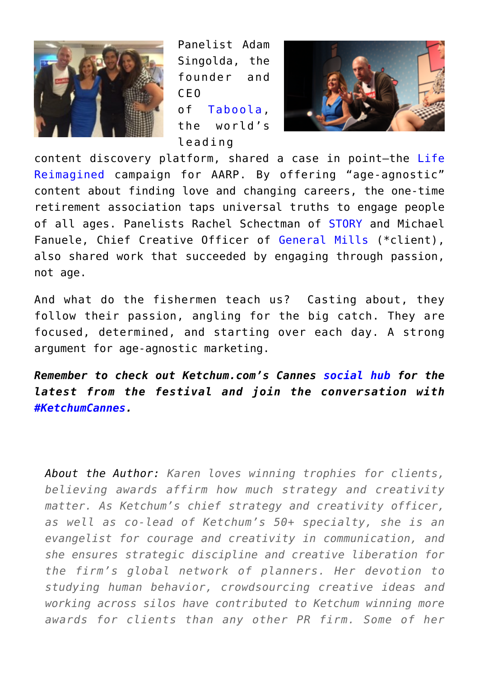

Panelist Adam Singolda, the founder and CEO of [Taboola](https://www.taboola.com/), the world's leading



content discovery platform, shared a case in point—the [Life](https://lifereimagined.aarp.org/home?mboxSession=1466701031692-605621) [Reimagined](https://lifereimagined.aarp.org/home?mboxSession=1466701031692-605621) campaign for AARP. By offering "age-agnostic" content about finding love and changing careers, the one-time retirement association taps universal truths to engage people of all ages. Panelists Rachel Schectman of [STORY](https://thisisstory.com/) and Michael Fanuele, Chief Creative Officer of [General Mills](https://www.generalmills.com/) (\*client), also shared work that succeeded by engaging through passion, not age.

And what do the fishermen teach us? Casting about, they follow their passion, angling for the big catch. They are focused, determined, and starting over each day. A strong argument for age-agnostic marketing.

*Remember to check out Ketchum.com's Cannes [social hub](https://www.ketchum.com/cannes-social-2016) for the latest from the festival and join the conversation with [#KetchumCannes](https://twitter.com/search?q=%23KetchumCannes&src=typd&vertical=default&f=tweets).*

*[About the Author: K](https://www.amazon.com/Marketing-Millennial-Woman-Arnof-Fishman/dp/0692472398/ref=sr_1_1?s=books&ie=UTF8&qid=1458573763&sr=1-1&keywords=marketing+to+the+millennial+woman)aren loves winning trophies for clients, believing awards affirm how much strategy and creativity matter. As Ketchum's chief strategy and creativity officer, as well as co-lead of Ketchum's 50+ specialty, she is an evangelist for courage and creativity in communication, and she ensures strategic discipline and creative liberation for the firm's global network of planners. Her devotion to studying human behavior, crowdsourcing creative ideas and working across silos have contributed to Ketchum winning more awards for clients than any other PR firm. Some of her*